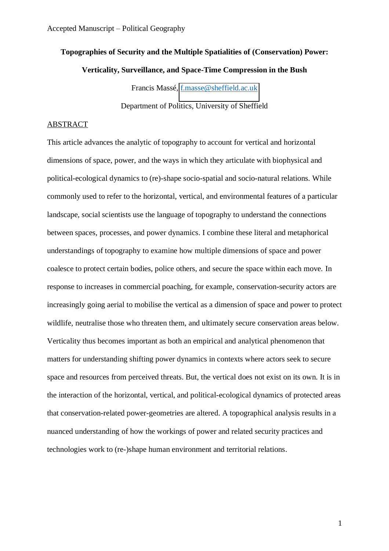# **Topographies of Security and the Multiple Spatialities of (Conservation) Power: Verticality, Surveillance, and Space-Time Compression in the Bush**

Francis Massé, [f.masse@sheffield.ac.uk](mailto:f.masse@sheffield.ac.uk) 

Department of Politics, University of Sheffield

#### ABSTRACT

This article advances the analytic of topography to account for vertical and horizontal dimensions of space, power, and the ways in which they articulate with biophysical and political-ecological dynamics to (re)-shape socio-spatial and socio-natural relations. While commonly used to refer to the horizontal, vertical, and environmental features of a particular landscape, social scientists use the language of topography to understand the connections between spaces, processes, and power dynamics. I combine these literal and metaphorical understandings of topography to examine how multiple dimensions of space and power coalesce to protect certain bodies, police others, and secure the space within each move. In response to increases in commercial poaching, for example, conservation-security actors are increasingly going aerial to mobilise the vertical as a dimension of space and power to protect wildlife, neutralise those who threaten them, and ultimately secure conservation areas below. Verticality thus becomes important as both an empirical and analytical phenomenon that matters for understanding shifting power dynamics in contexts where actors seek to secure space and resources from perceived threats. But, the vertical does not exist on its own. It is in the interaction of the horizontal, vertical, and political-ecological dynamics of protected areas that conservation-related power-geometries are altered. A topographical analysis results in a nuanced understanding of how the workings of power and related security practices and technologies work to (re-)shape human environment and territorial relations.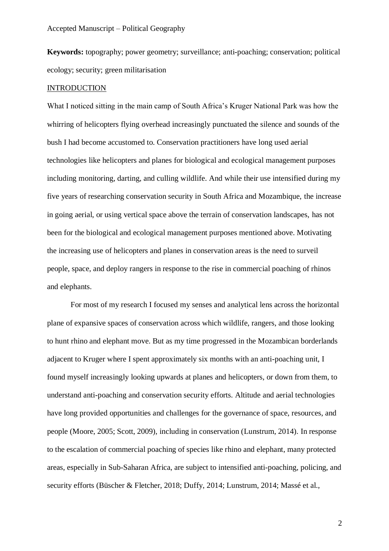**Keywords:** topography; power geometry; surveillance; anti-poaching; conservation; political ecology; security; green militarisation

#### INTRODUCTION

What I noticed sitting in the main camp of South Africa's Kruger National Park was how the whirring of helicopters flying overhead increasingly punctuated the silence and sounds of the bush I had become accustomed to. Conservation practitioners have long used aerial technologies like helicopters and planes for biological and ecological management purposes including monitoring, darting, and culling wildlife. And while their use intensified during my five years of researching conservation security in South Africa and Mozambique, the increase in going aerial, or using vertical space above the terrain of conservation landscapes, has not been for the biological and ecological management purposes mentioned above. Motivating the increasing use of helicopters and planes in conservation areas is the need to surveil people, space, and deploy rangers in response to the rise in commercial poaching of rhinos and elephants.

For most of my research I focused my senses and analytical lens across the horizontal plane of expansive spaces of conservation across which wildlife, rangers, and those looking to hunt rhino and elephant move. But as my time progressed in the Mozambican borderlands adjacent to Kruger where I spent approximately six months with an anti-poaching unit, I found myself increasingly looking upwards at planes and helicopters, or down from them, to understand anti-poaching and conservation security efforts. Altitude and aerial technologies have long provided opportunities and challenges for the governance of space, resources, and people (Moore, 2005; Scott, 2009), including in conservation (Lunstrum, 2014). In response to the escalation of commercial poaching of species like rhino and elephant, many protected areas, especially in Sub-Saharan Africa, are subject to intensified anti-poaching, policing, and security efforts (Büscher & Fletcher, 2018; Duffy, 2014; Lunstrum, 2014; Massé et al.,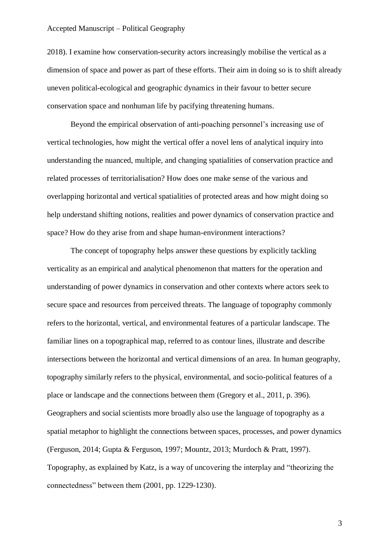2018). I examine how conservation-security actors increasingly mobilise the vertical as a dimension of space and power as part of these efforts. Their aim in doing so is to shift already uneven political-ecological and geographic dynamics in their favour to better secure conservation space and nonhuman life by pacifying threatening humans.

Beyond the empirical observation of anti-poaching personnel's increasing use of vertical technologies, how might the vertical offer a novel lens of analytical inquiry into understanding the nuanced, multiple, and changing spatialities of conservation practice and related processes of territorialisation? How does one make sense of the various and overlapping horizontal and vertical spatialities of protected areas and how might doing so help understand shifting notions, realities and power dynamics of conservation practice and space? How do they arise from and shape human-environment interactions?

The concept of topography helps answer these questions by explicitly tackling verticality as an empirical and analytical phenomenon that matters for the operation and understanding of power dynamics in conservation and other contexts where actors seek to secure space and resources from perceived threats. The language of topography commonly refers to the horizontal, vertical, and environmental features of a particular landscape. The familiar lines on a topographical map, referred to as contour lines, illustrate and describe intersections between the horizontal and vertical dimensions of an area. In human geography, topography similarly refers to the physical, environmental, and socio-political features of a place or landscape and the connections between them (Gregory et al., 2011, p. 396). Geographers and social scientists more broadly also use the language of topography as a spatial metaphor to highlight the connections between spaces, processes, and power dynamics (Ferguson, 2014; Gupta & Ferguson, 1997; Mountz, 2013; Murdoch & Pratt, 1997). Topography, as explained by Katz, is a way of uncovering the interplay and "theorizing the connectedness" between them (2001, pp. 1229-1230).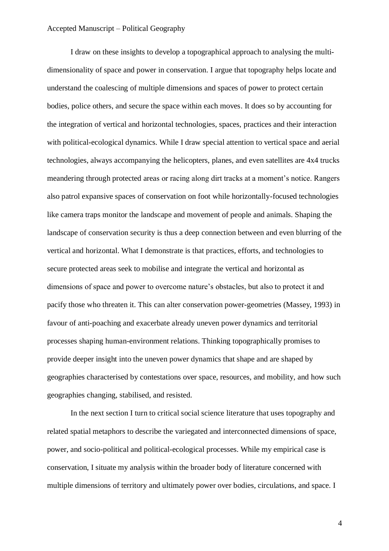I draw on these insights to develop a topographical approach to analysing the multidimensionality of space and power in conservation. I argue that topography helps locate and understand the coalescing of multiple dimensions and spaces of power to protect certain bodies, police others, and secure the space within each moves. It does so by accounting for the integration of vertical and horizontal technologies, spaces, practices and their interaction with political-ecological dynamics. While I draw special attention to vertical space and aerial technologies, always accompanying the helicopters, planes, and even satellites are 4x4 trucks meandering through protected areas or racing along dirt tracks at a moment's notice. Rangers also patrol expansive spaces of conservation on foot while horizontally-focused technologies like camera traps monitor the landscape and movement of people and animals. Shaping the landscape of conservation security is thus a deep connection between and even blurring of the vertical and horizontal. What I demonstrate is that practices, efforts, and technologies to secure protected areas seek to mobilise and integrate the vertical and horizontal as dimensions of space and power to overcome nature's obstacles, but also to protect it and pacify those who threaten it. This can alter conservation power-geometries (Massey, 1993) in favour of anti-poaching and exacerbate already uneven power dynamics and territorial processes shaping human-environment relations. Thinking topographically promises to provide deeper insight into the uneven power dynamics that shape and are shaped by geographies characterised by contestations over space, resources, and mobility, and how such geographies changing, stabilised, and resisted.

 In the next section I turn to critical social science literature that uses topography and related spatial metaphors to describe the variegated and interconnected dimensions of space, power, and socio-political and political-ecological processes. While my empirical case is conservation, I situate my analysis within the broader body of literature concerned with multiple dimensions of territory and ultimately power over bodies, circulations, and space. I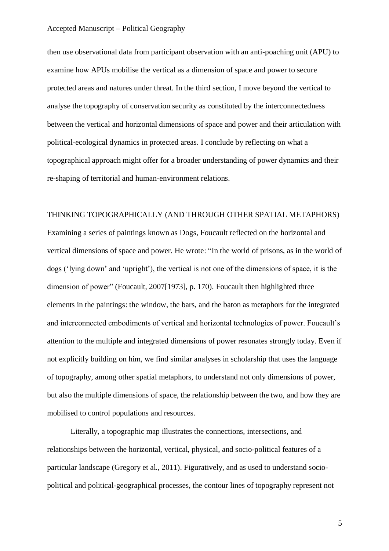then use observational data from participant observation with an anti-poaching unit (APU) to examine how APUs mobilise the vertical as a dimension of space and power to secure protected areas and natures under threat. In the third section, I move beyond the vertical to analyse the topography of conservation security as constituted by the interconnectedness between the vertical and horizontal dimensions of space and power and their articulation with political-ecological dynamics in protected areas. I conclude by reflecting on what a topographical approach might offer for a broader understanding of power dynamics and their re-shaping of territorial and human-environment relations.

#### THINKING TOPOGRAPHICALLY (AND THROUGH OTHER SPATIAL METAPHORS)

Examining a series of paintings known as Dogs, Foucault reflected on the horizontal and vertical dimensions of space and power. He wrote: "In the world of prisons, as in the world of dogs ('lying down' and 'upright'), the vertical is not one of the dimensions of space, it is the dimension of power" (Foucault, 2007[1973], p. 170). Foucault then highlighted three elements in the paintings: the window, the bars, and the baton as metaphors for the integrated and interconnected embodiments of vertical and horizontal technologies of power. Foucault's attention to the multiple and integrated dimensions of power resonates strongly today. Even if not explicitly building on him, we find similar analyses in scholarship that uses the language of topography, among other spatial metaphors, to understand not only dimensions of power, but also the multiple dimensions of space, the relationship between the two, and how they are mobilised to control populations and resources.

 Literally, a topographic map illustrates the connections, intersections, and relationships between the horizontal, vertical, physical, and socio-political features of a particular landscape (Gregory et al., 2011). Figuratively, and as used to understand sociopolitical and political-geographical processes, the contour lines of topography represent not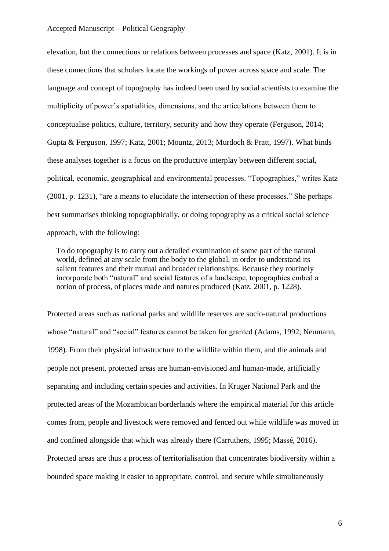elevation, but the connections or relations between processes and space (Katz, 2001). It is in these connections that scholars locate the workings of power across space and scale. The language and concept of topography has indeed been used by social scientists to examine the multiplicity of power's spatialities, dimensions, and the articulations between them to conceptualise politics, culture, territory, security and how they operate (Ferguson, 2014; Gupta & Ferguson, 1997; Katz, 2001; Mountz, 2013; Murdoch & Pratt, 1997). What binds these analyses together is a focus on the productive interplay between different social, political, economic, geographical and environmental processes. "Topographies," writes Katz (2001, p. 1231), "are a means to elucidate the intersection of these processes." She perhaps best summarises thinking topographically, or doing topography as a critical social science approach, with the following:

To do topography is to carry out a detailed examination of some part of the natural world, defined at any scale from the body to the global, in order to understand its salient features and their mutual and broader relationships. Because they routinely incorporate both "natural" and social features of a landscape, topographies embed a notion of process, of places made and natures produced (Katz, 2001, p. 1228).

Protected areas such as national parks and wildlife reserves are socio-natural productions whose "natural" and "social" features cannot be taken for granted (Adams, 1992; Neumann, 1998). From their physical infrastructure to the wildlife within them, and the animals and people not present, protected areas are human-envisioned and human-made, artificially separating and including certain species and activities. In Kruger National Park and the protected areas of the Mozambican borderlands where the empirical material for this article comes from, people and livestock were removed and fenced out while wildlife was moved in and confined alongside that which was already there (Carruthers, 1995; Massé, 2016). Protected areas are thus a process of territorialisation that concentrates biodiversity within a bounded space making it easier to appropriate, control, and secure while simultaneously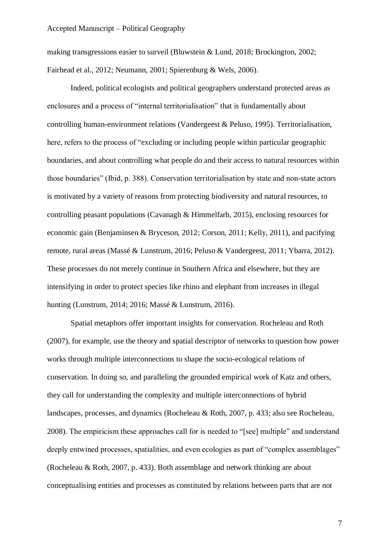making transgressions easier to surveil (Bluwstein & Lund, 2018; Brockington, 2002; Fairhead et al., 2012; Neumann, 2001; Spierenburg & Wels, 2006).

 Indeed, political ecologists and political geographers understand protected areas as enclosures and a process of "internal territorialisation" that is fundamentally about controlling human-environment relations (Vandergeest & Peluso, 1995). Territorialisation, here, refers to the process of "excluding or including people within particular geographic boundaries, and about controlling what people do and their access to natural resources within those boundaries" (Ibid, p. 388). Conservation territorialisation by state and non-state actors is motivated by a variety of reasons from protecting biodiversity and natural resources, to controlling peasant populations (Cavanagh & Himmelfarb, 2015), enclosing resources for economic gain (Benjaminsen & Bryceson, 2012; Corson, 2011; Kelly, 2011), and pacifying remote, rural areas (Massé & Lunstrum, 2016; Peluso & Vandergeest, 2011; Ybarra, 2012). These processes do not merely continue in Southern Africa and elsewhere, but they are intensifying in order to protect species like rhino and elephant from increases in illegal hunting (Lunstrum, 2014; 2016; Massé & Lunstrum, 2016).

 Spatial metaphors offer important insights for conservation. Rocheleau and Roth (2007), for example, use the theory and spatial descriptor of networks to question how power works through multiple interconnections to shape the socio-ecological relations of conservation. In doing so, and paralleling the grounded empirical work of Katz and others, they call for understanding the complexity and multiple interconnections of hybrid landscapes, processes, and dynamics (Rocheleau & Roth, 2007, p. 433; also see Rocheleau, 2008). The empiricism these approaches call for is needed to "[see] multiple" and understand deeply entwined processes, spatialities, and even ecologies as part of "complex assemblages" (Rocheleau & Roth, 2007, p. 433). Both assemblage and network thinking are about conceptualising entities and processes as constituted by relations between parts that are not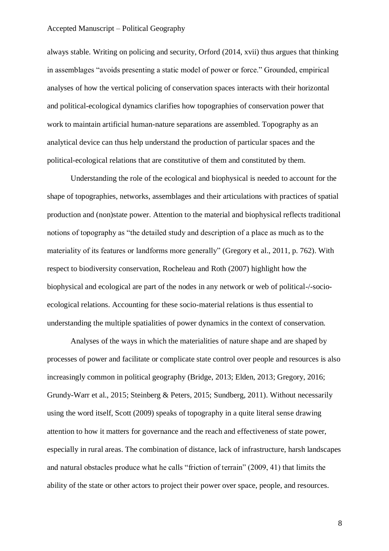always stable. Writing on policing and security, Orford (2014, xvii) thus argues that thinking in assemblages "avoids presenting a static model of power or force." Grounded, empirical analyses of how the vertical policing of conservation spaces interacts with their horizontal and political-ecological dynamics clarifies how topographies of conservation power that work to maintain artificial human-nature separations are assembled. Topography as an analytical device can thus help understand the production of particular spaces and the political-ecological relations that are constitutive of them and constituted by them.

 Understanding the role of the ecological and biophysical is needed to account for the shape of topographies, networks, assemblages and their articulations with practices of spatial production and (non)state power. Attention to the material and biophysical reflects traditional notions of topography as "the detailed study and description of a place as much as to the materiality of its features or landforms more generally" (Gregory et al., 2011, p. 762). With respect to biodiversity conservation, Rocheleau and Roth (2007) highlight how the biophysical and ecological are part of the nodes in any network or web of political-/-socioecological relations. Accounting for these socio-material relations is thus essential to understanding the multiple spatialities of power dynamics in the context of conservation.

 Analyses of the ways in which the materialities of nature shape and are shaped by processes of power and facilitate or complicate state control over people and resources is also increasingly common in political geography (Bridge, 2013; Elden, 2013; Gregory, 2016; Grundy-Warr et al., 2015; Steinberg & Peters, 2015; Sundberg, 2011). Without necessarily using the word itself, Scott (2009) speaks of topography in a quite literal sense drawing attention to how it matters for governance and the reach and effectiveness of state power, especially in rural areas. The combination of distance, lack of infrastructure, harsh landscapes and natural obstacles produce what he calls "friction of terrain" (2009, 41) that limits the ability of the state or other actors to project their power over space, people, and resources.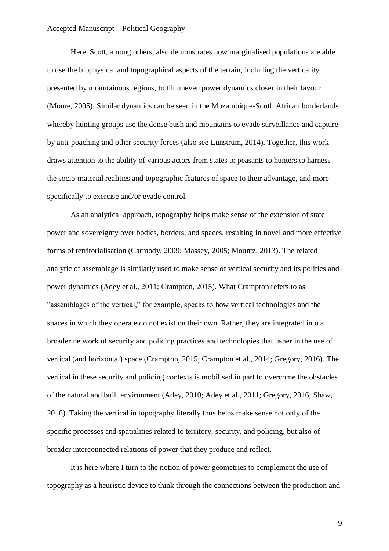Here, Scott, among others, also demonstrates how marginalised populations are able to use the biophysical and topographical aspects of the terrain, including the verticality presented by mountainous regions, to tilt uneven power dynamics closer in their favour (Moore, 2005). Similar dynamics can be seen in the Mozambique-South African borderlands whereby hunting groups use the dense bush and mountains to evade surveillance and capture by anti-poaching and other security forces (also see Lunstrum, 2014). Together, this work draws attention to the ability of various actors from states to peasants to hunters to harness the socio-material realities and topographic features of space to their advantage, and more specifically to exercise and/or evade control.

 As an analytical approach, topography helps make sense of the extension of state power and sovereignty over bodies, borders, and spaces, resulting in novel and more effective forms of territorialisation (Carmody, 2009; Massey, 2005; Mountz, 2013). The related analytic of assemblage is similarly used to make sense of vertical security and its politics and power dynamics (Adey et al., 2011; Crampton, 2015). What Crampton refers to as "assemblages of the vertical," for example, speaks to how vertical technologies and the spaces in which they operate do not exist on their own. Rather, they are integrated into a broader network of security and policing practices and technologies that usher in the use of vertical (and horizontal) space (Crampton, 2015; Crampton et al., 2014; Gregory, 2016). The vertical in these security and policing contexts is mobilised in part to overcome the obstacles of the natural and built environment (Adey, 2010; Adey et al., 2011; Gregory, 2016; Shaw, 2016). Taking the vertical in topography literally thus helps make sense not only of the specific processes and spatialities related to territory, security, and policing, but also of broader interconnected relations of power that they produce and reflect.

 It is here where I turn to the notion of power geometries to complement the use of topography as a heuristic device to think through the connections between the production and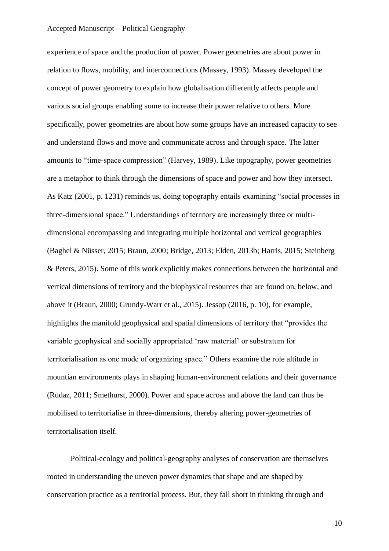experience of space and the production of power. Power geometries are about power in relation to flows, mobility, and interconnections (Massey, 1993). Massey developed the concept of power geometry to explain how globalisation differently affects people and various social groups enabling some to increase their power relative to others. More specifically, power geometries are about how some groups have an increased capacity to see and understand flows and move and communicate across and through space. The latter amounts to "time-space compression" (Harvey, 1989). Like topography, power geometries are a metaphor to think through the dimensions of space and power and how they intersect. As Katz (2001, p. 1231) reminds us, doing topography entails examining "social processes in three-dimensional space." Understandings of territory are increasingly three or multidimensional encompassing and integrating multiple horizontal and vertical geographies (Baghel & Nüsser, 2015; Braun, 2000; Bridge, 2013; Elden, 2013b; Harris, 2015; Steinberg & Peters, 2015). Some of this work explicitly makes connections between the horizontal and vertical dimensions of territory and the biophysical resources that are found on, below, and above it (Braun, 2000; Grundy-Warr et al., 2015). Jessop (2016, p. 10), for example, highlights the manifold geophysical and spatial dimensions of territory that "provides the variable geophysical and socially appropriated 'raw material' or substratum for territorialisation as one mode of organizing space." Others examine the role altitude in mountian environments plays in shaping human-environment relations and their governance (Rudaz, 2011; Smethurst, 2000). Power and space across and above the land can thus be mobilised to territorialise in three-dimensions, thereby altering power-geometries of territorialisation itself.

 Political-ecology and political-geography analyses of conservation are themselves rooted in understanding the uneven power dynamics that shape and are shaped by conservation practice as a territorial process. But, they fall short in thinking through and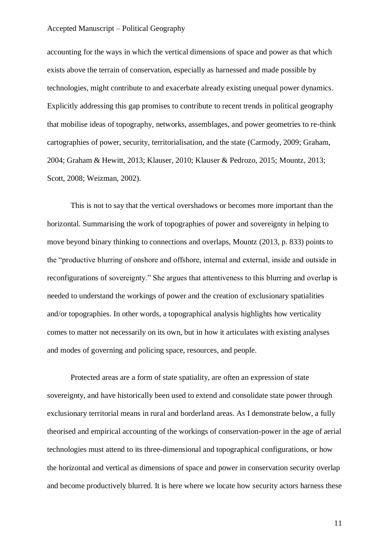accounting for the ways in which the vertical dimensions of space and power as that which exists above the terrain of conservation, especially as harnessed and made possible by technologies, might contribute to and exacerbate already existing unequal power dynamics. Explicitly addressing this gap promises to contribute to recent trends in political geography that mobilise ideas of topography, networks, assemblages, and power geometries to re-think cartographies of power, security, territorialisation, and the state (Carmody, 2009; Graham, 2004; Graham & Hewitt, 2013; Klauser, 2010; Klauser & Pedrozo, 2015; Mountz, 2013; Scott, 2008; Weizman, 2002).

 This is not to say that the vertical overshadows or becomes more important than the horizontal. Summarising the work of topographies of power and sovereignty in helping to move beyond binary thinking to connections and overlaps, Mountz (2013, p. 833) points to the "productive blurring of onshore and offshore, internal and external, inside and outside in reconfigurations of sovereignty." She argues that attentiveness to this blurring and overlap is needed to understand the workings of power and the creation of exclusionary spatialities and/or topographies. In other words, a topographical analysis highlights how verticality comes to matter not necessarily on its own, but in how it articulates with existing analyses and modes of governing and policing space, resources, and people.

 Protected areas are a form of state spatiality, are often an expression of state sovereignty, and have historically been used to extend and consolidate state power through exclusionary territorial means in rural and borderland areas. As I demonstrate below, a fully theorised and empirical accounting of the workings of conservation-power in the age of aerial technologies must attend to its three-dimensional and topographical configurations, or how the horizontal and vertical as dimensions of space and power in conservation security overlap and become productively blurred. It is here where we locate how security actors harness these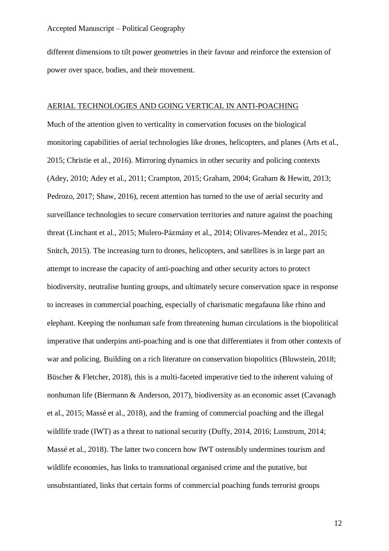different dimensions to tilt power geometries in their favour and reinforce the extension of power over space, bodies, and their movement.

#### AERIAL TECHNOLOGIES AND GOING VERTICAL IN ANTI-POACHING

Much of the attention given to verticality in conservation focuses on the biological monitoring capabilities of aerial technologies like drones, helicopters, and planes (Arts et al., 2015; Christie et al., 2016). Mirroring dynamics in other security and policing contexts (Adey, 2010; Adey et al., 2011; Crampton, 2015; Graham, 2004; Graham & Hewitt, 2013; Pedrozo, 2017; Shaw, 2016), recent attention has turned to the use of aerial security and surveillance technologies to secure conservation territories and nature against the poaching threat (Linchant et al., 2015; Mulero-Pázmány et al., 2014; Olivares-Mendez et al., 2015; Snitch, 2015). The increasing turn to drones, helicopters, and satellites is in large part an attempt to increase the capacity of anti-poaching and other security actors to protect biodiversity, neutralise hunting groups, and ultimately secure conservation space in response to increases in commercial poaching, especially of charismatic megafauna like rhino and elephant. Keeping the nonhuman safe from threatening human circulations is the biopolitical imperative that underpins anti-poaching and is one that differentiates it from other contexts of war and policing. Building on a rich literature on conservation biopolitics (Bluwstein, 2018; Büscher & Fletcher, 2018), this is a multi-faceted imperative tied to the inherent valuing of nonhuman life (Biermann & Anderson, 2017), biodiversity as an economic asset (Cavanagh et al., 2015; Massé et al., 2018), and the framing of commercial poaching and the illegal wildlife trade (IWT) as a threat to national security (Duffy, 2014, 2016; Lunstrum, 2014; Massé et al., 2018). The latter two concern how IWT ostensibly undermines tourism and wildlife economies, has links to transnational organised crime and the putative, but unsubstantiated, links that certain forms of commercial poaching funds terrorist groups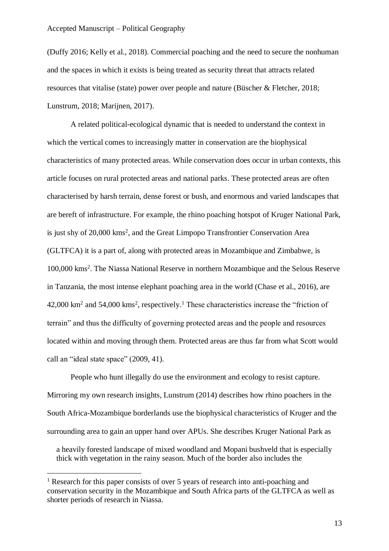(Duffy 2016; Kelly et al., 2018). Commercial poaching and the need to secure the nonhuman and the spaces in which it exists is being treated as security threat that attracts related resources that vitalise (state) power over people and nature (Büscher & Fletcher, 2018; Lunstrum, 2018; Marijnen, 2017).

 A related political-ecological dynamic that is needed to understand the context in which the vertical comes to increasingly matter in conservation are the biophysical characteristics of many protected areas. While conservation does occur in urban contexts, this article focuses on rural protected areas and national parks. These protected areas are often characterised by harsh terrain, dense forest or bush, and enormous and varied landscapes that are bereft of infrastructure. For example, the rhino poaching hotspot of Kruger National Park, is just shy of 20,000 kms<sup>2</sup>, and the Great Limpopo Transfrontier Conservation Area (GLTFCA) it is a part of, along with protected areas in Mozambique and Zimbabwe, is 100,000 kms<sup>2</sup> . The Niassa National Reserve in northern Mozambique and the Selous Reserve in Tanzania, the most intense elephant poaching area in the world (Chase et al., 2016), are  $42,000 \text{ km}^2$  and  $54,000 \text{ km}^2$ , respectively.<sup>1</sup> These characteristics increase the "friction of terrain" and thus the difficulty of governing protected areas and the people and resources located within and moving through them. Protected areas are thus far from what Scott would call an "ideal state space" (2009, 41).

 People who hunt illegally do use the environment and ecology to resist capture. Mirroring my own research insights, Lunstrum (2014) describes how rhino poachers in the South Africa-Mozambique borderlands use the biophysical characteristics of Kruger and the surrounding area to gain an upper hand over APUs. She describes Kruger National Park as a heavily forested landscape of mixed woodland and Mopani bushveld that is especially

thick with vegetation in the rainy season. Much of the border also includes the

 $\overline{a}$ 

<sup>&</sup>lt;sup>1</sup> Research for this paper consists of over 5 years of research into anti-poaching and conservation security in the Mozambique and South Africa parts of the GLTFCA as well as shorter periods of research in Niassa.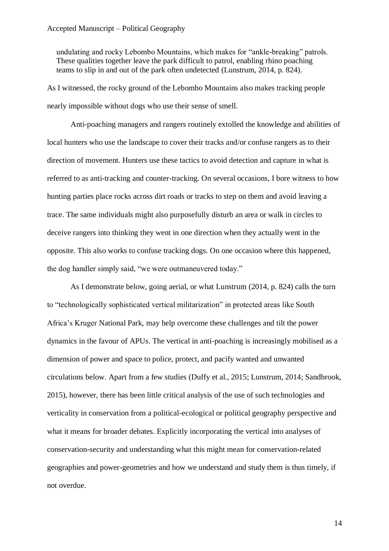undulating and rocky Lebombo Mountains, which makes for "ankle-breaking" patrols. These qualities together leave the park difficult to patrol, enabling rhino poaching teams to slip in and out of the park often undetected (Lunstrum, 2014, p. 824).

As I witnessed, the rocky ground of the Lebombo Mountains also makes tracking people nearly impossible without dogs who use their sense of smell.

 Anti-poaching managers and rangers routinely extolled the knowledge and abilities of local hunters who use the landscape to cover their tracks and/or confuse rangers as to their direction of movement. Hunters use these tactics to avoid detection and capture in what is referred to as anti-tracking and counter-tracking. On several occasions, I bore witness to how hunting parties place rocks across dirt roads or tracks to step on them and avoid leaving a trace. The same individuals might also purposefully disturb an area or walk in circles to deceive rangers into thinking they went in one direction when they actually went in the opposite. This also works to confuse tracking dogs. On one occasion where this happened, the dog handler simply said, "we were outmaneuvered today."

 As I demonstrate below, going aerial, or what Lunstrum (2014, p. 824) calls the turn to "technologically sophisticated vertical militarization" in protected areas like South Africa's Kruger National Park, may help overcome these challenges and tilt the power dynamics in the favour of APUs. The vertical in anti-poaching is increasingly mobilised as a dimension of power and space to police, protect, and pacify wanted and unwanted circulations below. Apart from a few studies (Duffy et al., 2015; Lunstrum, 2014; Sandbrook, 2015), however, there has been little critical analysis of the use of such technologies and verticality in conservation from a political-ecological or political geography perspective and what it means for broader debates. Explicitly incorporating the vertical into analyses of conservation-security and understanding what this might mean for conservation-related geographies and power-geometries and how we understand and study them is thus timely, if not overdue.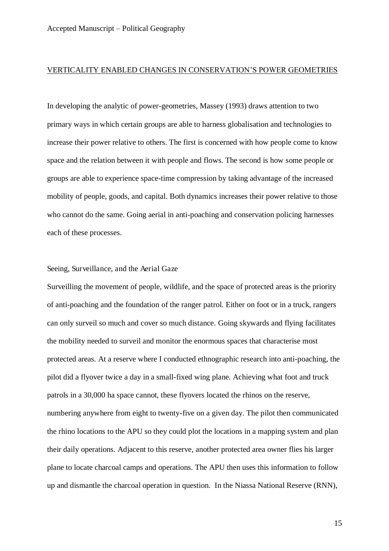## VERTICALITY ENABLED CHANGES IN CONSERVATION'S POWER GEOMETRIES

In developing the analytic of power-geometries, Massey (1993) draws attention to two primary ways in which certain groups are able to harness globalisation and technologies to increase their power relative to others. The first is concerned with how people come to know space and the relation between it with people and flows. The second is how some people or groups are able to experience space-time compression by taking advantage of the increased mobility of people, goods, and capital. Both dynamics increases their power relative to those who cannot do the same. Going aerial in anti-poaching and conservation policing harnesses each of these processes.

## Seeing, Surveillance, and the Aerial Gaze

Surveilling the movement of people, wildlife, and the space of protected areas is the priority of anti-poaching and the foundation of the ranger patrol. Either on foot or in a truck, rangers can only surveil so much and cover so much distance. Going skywards and flying facilitates the mobility needed to surveil and monitor the enormous spaces that characterise most protected areas. At a reserve where I conducted ethnographic research into anti-poaching, the pilot did a flyover twice a day in a small-fixed wing plane. Achieving what foot and truck patrols in a 30,000 ha space cannot, these flyovers located the rhinos on the reserve, numbering anywhere from eight to twenty-five on a given day. The pilot then communicated the rhino locations to the APU so they could plot the locations in a mapping system and plan their daily operations. Adjacent to this reserve, another protected area owner flies his larger plane to locate charcoal camps and operations. The APU then uses this information to follow up and dismantle the charcoal operation in question. In the Niassa National Reserve (RNN),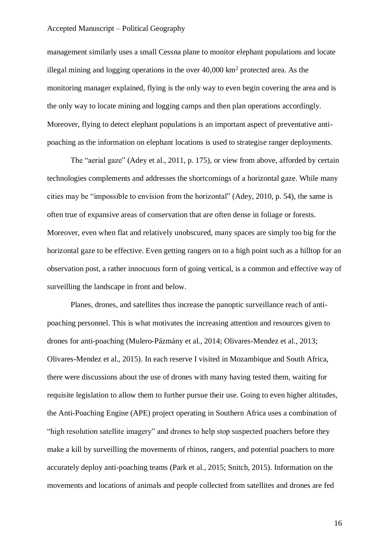management similarly uses a small Cessna plane to monitor elephant populations and locate illegal mining and logging operations in the over  $40,000 \text{ km}^2$  protected area. As the monitoring manager explained, flying is the only way to even begin covering the area and is the only way to locate mining and logging camps and then plan operations accordingly. Moreover, flying to detect elephant populations is an important aspect of preventative antipoaching as the information on elephant locations is used to strategise ranger deployments.

The "aerial gaze" (Adey et al., 2011, p. 175), or view from above, afforded by certain technologies complements and addresses the shortcomings of a horizontal gaze. While many cities may be "impossible to envision from the horizontal" (Adey, 2010, p. 54), the same is often true of expansive areas of conservation that are often dense in foliage or forests. Moreover, even when flat and relatively unobscured, many spaces are simply too big for the horizontal gaze to be effective. Even getting rangers on to a high point such as a hilltop for an observation post, a rather innocuous form of going vertical, is a common and effective way of surveilling the landscape in front and below.

 Planes, drones, and satellites thus increase the panoptic surveillance reach of antipoaching personnel. This is what motivates the increasing attention and resources given to drones for anti-poaching (Mulero-Pázmány et al., 2014; Olivares-Mendez et al., 2013; Olivares-Mendez et al., 2015). In each reserve I visited in Mozambique and South Africa, there were discussions about the use of drones with many having tested them, waiting for requisite legislation to allow them to further pursue their use. Going to even higher altitudes, the Anti-Poaching Engine (APE) project operating in Southern Africa uses a combination of "high resolution satellite imagery" and drones to help stop suspected poachers before they make a kill by surveilling the movements of rhinos, rangers, and potential poachers to more accurately deploy anti-poaching teams (Park et al., 2015; Snitch, 2015). Information on the movements and locations of animals and people collected from satellites and drones are fed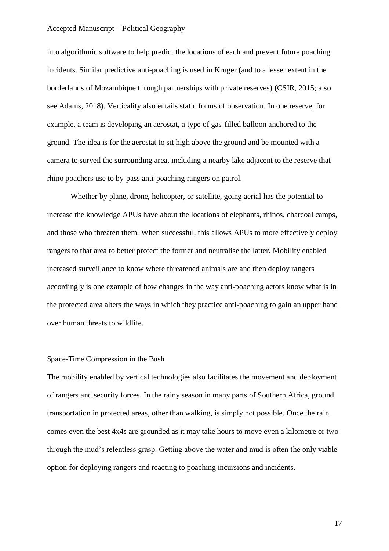into algorithmic software to help predict the locations of each and prevent future poaching incidents. Similar predictive anti-poaching is used in Kruger (and to a lesser extent in the borderlands of Mozambique through partnerships with private reserves) (CSIR, 2015; also see Adams, 2018). Verticality also entails static forms of observation. In one reserve, for example, a team is developing an aerostat, a type of gas-filled balloon anchored to the ground. The idea is for the aerostat to sit high above the ground and be mounted with a camera to surveil the surrounding area, including a nearby lake adjacent to the reserve that rhino poachers use to by-pass anti-poaching rangers on patrol.

 Whether by plane, drone, helicopter, or satellite, going aerial has the potential to increase the knowledge APUs have about the locations of elephants, rhinos, charcoal camps, and those who threaten them. When successful, this allows APUs to more effectively deploy rangers to that area to better protect the former and neutralise the latter. Mobility enabled increased surveillance to know where threatened animals are and then deploy rangers accordingly is one example of how changes in the way anti-poaching actors know what is in the protected area alters the ways in which they practice anti-poaching to gain an upper hand over human threats to wildlife.

#### Space-Time Compression in the Bush

The mobility enabled by vertical technologies also facilitates the movement and deployment of rangers and security forces. In the rainy season in many parts of Southern Africa, ground transportation in protected areas, other than walking, is simply not possible. Once the rain comes even the best 4x4s are grounded as it may take hours to move even a kilometre or two through the mud's relentless grasp. Getting above the water and mud is often the only viable option for deploying rangers and reacting to poaching incursions and incidents.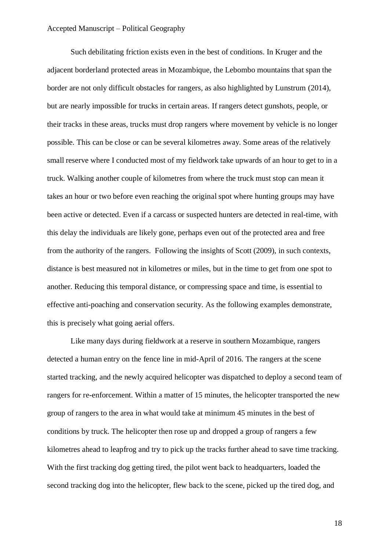Such debilitating friction exists even in the best of conditions. In Kruger and the adjacent borderland protected areas in Mozambique, the Lebombo mountains that span the border are not only difficult obstacles for rangers, as also highlighted by Lunstrum (2014), but are nearly impossible for trucks in certain areas. If rangers detect gunshots, people, or their tracks in these areas, trucks must drop rangers where movement by vehicle is no longer possible. This can be close or can be several kilometres away. Some areas of the relatively small reserve where I conducted most of my fieldwork take upwards of an hour to get to in a truck. Walking another couple of kilometres from where the truck must stop can mean it takes an hour or two before even reaching the original spot where hunting groups may have been active or detected. Even if a carcass or suspected hunters are detected in real-time, with this delay the individuals are likely gone, perhaps even out of the protected area and free from the authority of the rangers. Following the insights of Scott (2009), in such contexts, distance is best measured not in kilometres or miles, but in the time to get from one spot to another. Reducing this temporal distance, or compressing space and time, is essential to effective anti-poaching and conservation security. As the following examples demonstrate, this is precisely what going aerial offers.

 Like many days during fieldwork at a reserve in southern Mozambique, rangers detected a human entry on the fence line in mid-April of 2016. The rangers at the scene started tracking, and the newly acquired helicopter was dispatched to deploy a second team of rangers for re-enforcement. Within a matter of 15 minutes, the helicopter transported the new group of rangers to the area in what would take at minimum 45 minutes in the best of conditions by truck. The helicopter then rose up and dropped a group of rangers a few kilometres ahead to leapfrog and try to pick up the tracks further ahead to save time tracking. With the first tracking dog getting tired, the pilot went back to headquarters, loaded the second tracking dog into the helicopter, flew back to the scene, picked up the tired dog, and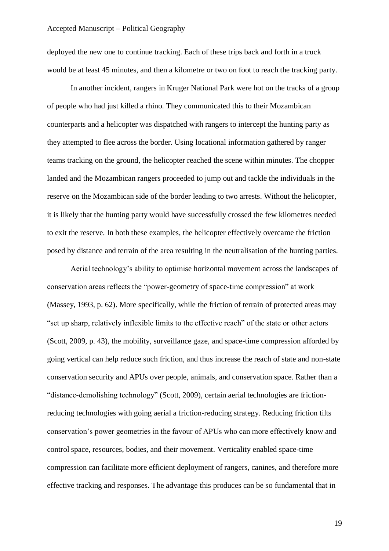deployed the new one to continue tracking. Each of these trips back and forth in a truck would be at least 45 minutes, and then a kilometre or two on foot to reach the tracking party.

 In another incident, rangers in Kruger National Park were hot on the tracks of a group of people who had just killed a rhino. They communicated this to their Mozambican counterparts and a helicopter was dispatched with rangers to intercept the hunting party as they attempted to flee across the border. Using locational information gathered by ranger teams tracking on the ground, the helicopter reached the scene within minutes. The chopper landed and the Mozambican rangers proceeded to jump out and tackle the individuals in the reserve on the Mozambican side of the border leading to two arrests. Without the helicopter, it is likely that the hunting party would have successfully crossed the few kilometres needed to exit the reserve. In both these examples, the helicopter effectively overcame the friction posed by distance and terrain of the area resulting in the neutralisation of the hunting parties.

Aerial technology's ability to optimise horizontal movement across the landscapes of conservation areas reflects the "power-geometry of space-time compression" at work (Massey, 1993, p. 62). More specifically, while the friction of terrain of protected areas may "set up sharp, relatively inflexible limits to the effective reach" of the state or other actors (Scott, 2009, p. 43), the mobility, surveillance gaze, and space-time compression afforded by going vertical can help reduce such friction, and thus increase the reach of state and non-state conservation security and APUs over people, animals, and conservation space. Rather than a "distance-demolishing technology" (Scott, 2009), certain aerial technologies are frictionreducing technologies with going aerial a friction-reducing strategy. Reducing friction tilts conservation's power geometries in the favour of APUs who can more effectively know and control space, resources, bodies, and their movement. Verticality enabled space-time compression can facilitate more efficient deployment of rangers, canines, and therefore more effective tracking and responses. The advantage this produces can be so fundamental that in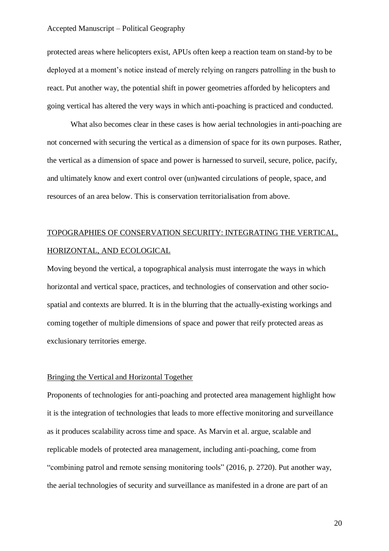protected areas where helicopters exist, APUs often keep a reaction team on stand-by to be deployed at a moment's notice instead of merely relying on rangers patrolling in the bush to react. Put another way, the potential shift in power geometries afforded by helicopters and going vertical has altered the very ways in which anti-poaching is practiced and conducted.

 What also becomes clear in these cases is how aerial technologies in anti-poaching are not concerned with securing the vertical as a dimension of space for its own purposes. Rather, the vertical as a dimension of space and power is harnessed to surveil, secure, police, pacify, and ultimately know and exert control over (un)wanted circulations of people, space, and resources of an area below. This is conservation territorialisation from above.

# TOPOGRAPHIES OF CONSERVATION SECURITY: INTEGRATING THE VERTICAL, HORIZONTAL, AND ECOLOGICAL

Moving beyond the vertical, a topographical analysis must interrogate the ways in which horizontal and vertical space, practices, and technologies of conservation and other sociospatial and contexts are blurred. It is in the blurring that the actually-existing workings and coming together of multiple dimensions of space and power that reify protected areas as exclusionary territories emerge.

# Bringing the Vertical and Horizontal Together

Proponents of technologies for anti-poaching and protected area management highlight how it is the integration of technologies that leads to more effective monitoring and surveillance as it produces scalability across time and space. As Marvin et al. argue, scalable and replicable models of protected area management, including anti-poaching, come from "combining patrol and remote sensing monitoring tools" (2016, p. 2720). Put another way, the aerial technologies of security and surveillance as manifested in a drone are part of an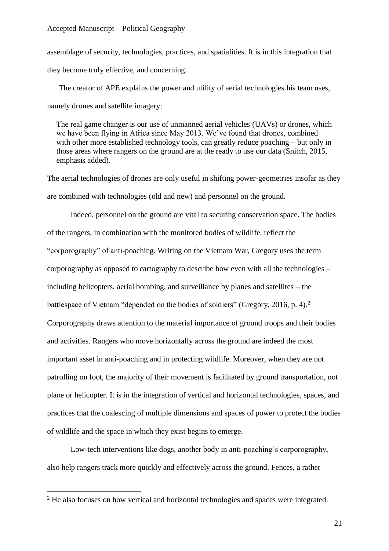assemblage of security, technologies, practices, and spatialities. It is in this integration that they become truly effective, and concerning.

The creator of APE explains the power and utility of aerial technologies his team uses, namely drones and satellite imagery:

The real game changer is our use of unmanned aerial vehicles (UAVs) or drones, which we have been flying in Africa since May 2013. We've found that drones, combined with other more established technology tools, can greatly reduce poaching – but only in those areas where rangers on the ground are at the ready to use our data (Snitch, 2015, emphasis added).

The aerial technologies of drones are only useful in shifting power-geometries insofar as they are combined with technologies (old and new) and personnel on the ground.

 Indeed, personnel on the ground are vital to securing conservation space. The bodies of the rangers, in combination with the monitored bodies of wildlife, reflect the "corporography" of anti-poaching. Writing on the Vietnam War, Gregory uses the term corporography as opposed to cartography to describe how even with all the technologies – including helicopters, aerial bombing, and surveillance by planes and satellites – the battlespace of Vietnam "depended on the bodies of soldiers" (Gregory, 2016, p. 4).<sup>2</sup> Corporography draws attention to the material importance of ground troops and their bodies and activities. Rangers who move horizontally across the ground are indeed the most important asset in anti-poaching and in protecting wildlife. Moreover, when they are not patrolling on foot, the majority of their movement is facilitated by ground transportation, not plane or helicopter. It is in the integration of vertical and horizontal technologies, spaces, and practices that the coalescing of multiple dimensions and spaces of power to protect the bodies of wildlife and the space in which they exist begins to emerge.

 Low-tech interventions like dogs, another body in anti-poaching's corporography, also help rangers track more quickly and effectively across the ground. Fences, a rather

 $\overline{a}$ 

<sup>&</sup>lt;sup>2</sup> He also focuses on how vertical and horizontal technologies and spaces were integrated.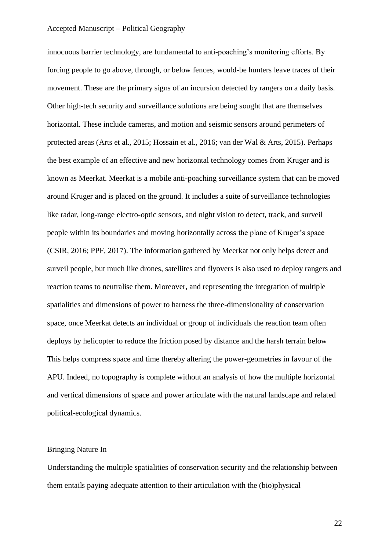innocuous barrier technology, are fundamental to anti-poaching's monitoring efforts. By forcing people to go above, through, or below fences, would-be hunters leave traces of their movement. These are the primary signs of an incursion detected by rangers on a daily basis. Other high-tech security and surveillance solutions are being sought that are themselves horizontal. These include cameras, and motion and seismic sensors around perimeters of protected areas (Arts et al., 2015; Hossain et al., 2016; van der Wal & Arts, 2015). Perhaps the best example of an effective and new horizontal technology comes from Kruger and is known as Meerkat. Meerkat is a mobile anti-poaching surveillance system that can be moved around Kruger and is placed on the ground. It includes a suite of surveillance technologies like radar, long-range electro-optic sensors, and night vision to detect, track, and surveil people within its boundaries and moving horizontally across the plane of Kruger's space (CSIR, 2016; PPF, 2017). The information gathered by Meerkat not only helps detect and surveil people, but much like drones, satellites and flyovers is also used to deploy rangers and reaction teams to neutralise them. Moreover, and representing the integration of multiple spatialities and dimensions of power to harness the three-dimensionality of conservation space, once Meerkat detects an individual or group of individuals the reaction team often deploys by helicopter to reduce the friction posed by distance and the harsh terrain below This helps compress space and time thereby altering the power-geometries in favour of the APU. Indeed, no topography is complete without an analysis of how the multiple horizontal and vertical dimensions of space and power articulate with the natural landscape and related political-ecological dynamics.

# Bringing Nature In

Understanding the multiple spatialities of conservation security and the relationship between them entails paying adequate attention to their articulation with the (bio)physical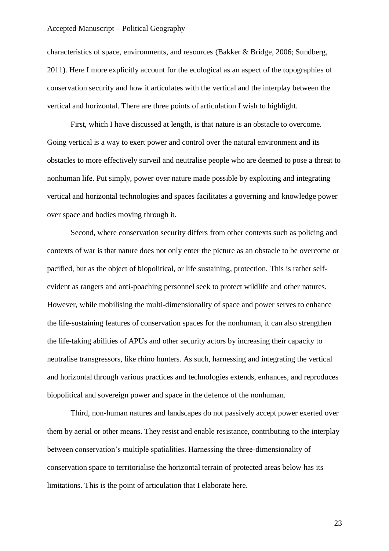characteristics of space, environments, and resources (Bakker & Bridge, 2006; Sundberg, 2011). Here I more explicitly account for the ecological as an aspect of the topographies of conservation security and how it articulates with the vertical and the interplay between the vertical and horizontal. There are three points of articulation I wish to highlight.

 First, which I have discussed at length, is that nature is an obstacle to overcome. Going vertical is a way to exert power and control over the natural environment and its obstacles to more effectively surveil and neutralise people who are deemed to pose a threat to nonhuman life. Put simply, power over nature made possible by exploiting and integrating vertical and horizontal technologies and spaces facilitates a governing and knowledge power over space and bodies moving through it.

 Second, where conservation security differs from other contexts such as policing and contexts of war is that nature does not only enter the picture as an obstacle to be overcome or pacified, but as the object of biopolitical, or life sustaining, protection. This is rather selfevident as rangers and anti-poaching personnel seek to protect wildlife and other natures. However, while mobilising the multi-dimensionality of space and power serves to enhance the life-sustaining features of conservation spaces for the nonhuman, it can also strengthen the life-taking abilities of APUs and other security actors by increasing their capacity to neutralise transgressors, like rhino hunters. As such, harnessing and integrating the vertical and horizontal through various practices and technologies extends, enhances, and reproduces biopolitical and sovereign power and space in the defence of the nonhuman.

 Third, non-human natures and landscapes do not passively accept power exerted over them by aerial or other means. They resist and enable resistance, contributing to the interplay between conservation's multiple spatialities. Harnessing the three-dimensionality of conservation space to territorialise the horizontal terrain of protected areas below has its limitations. This is the point of articulation that I elaborate here.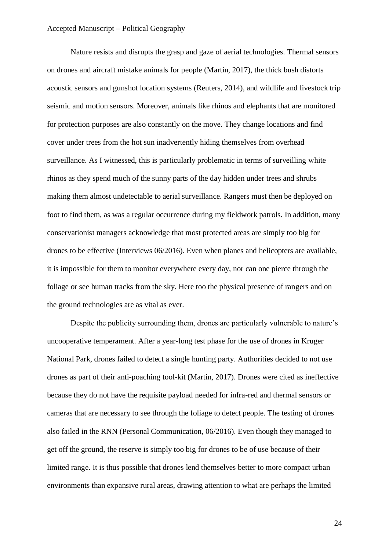Nature resists and disrupts the grasp and gaze of aerial technologies. Thermal sensors on drones and aircraft mistake animals for people (Martin, 2017), the thick bush distorts acoustic sensors and gunshot location systems (Reuters, 2014), and wildlife and livestock trip seismic and motion sensors. Moreover, animals like rhinos and elephants that are monitored for protection purposes are also constantly on the move. They change locations and find cover under trees from the hot sun inadvertently hiding themselves from overhead surveillance. As I witnessed, this is particularly problematic in terms of surveilling white rhinos as they spend much of the sunny parts of the day hidden under trees and shrubs making them almost undetectable to aerial surveillance. Rangers must then be deployed on foot to find them, as was a regular occurrence during my fieldwork patrols. In addition, many conservationist managers acknowledge that most protected areas are simply too big for drones to be effective (Interviews 06/2016). Even when planes and helicopters are available, it is impossible for them to monitor everywhere every day, nor can one pierce through the foliage or see human tracks from the sky. Here too the physical presence of rangers and on the ground technologies are as vital as ever.

Despite the publicity surrounding them, drones are particularly vulnerable to nature's uncooperative temperament. After a year-long test phase for the use of drones in Kruger National Park, drones failed to detect a single hunting party. Authorities decided to not use drones as part of their anti-poaching tool-kit (Martin, 2017). Drones were cited as ineffective because they do not have the requisite payload needed for infra-red and thermal sensors or cameras that are necessary to see through the foliage to detect people. The testing of drones also failed in the RNN (Personal Communication, 06/2016). Even though they managed to get off the ground, the reserve is simply too big for drones to be of use because of their limited range. It is thus possible that drones lend themselves better to more compact urban environments than expansive rural areas, drawing attention to what are perhaps the limited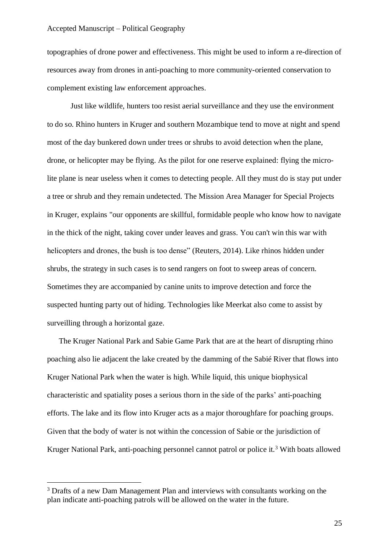topographies of drone power and effectiveness. This might be used to inform a re-direction of resources away from drones in anti-poaching to more community-oriented conservation to complement existing law enforcement approaches.

 Just like wildlife, hunters too resist aerial surveillance and they use the environment to do so. Rhino hunters in Kruger and southern Mozambique tend to move at night and spend most of the day bunkered down under trees or shrubs to avoid detection when the plane, drone, or helicopter may be flying. As the pilot for one reserve explained: flying the microlite plane is near useless when it comes to detecting people. All they must do is stay put under a tree or shrub and they remain undetected. The Mission Area Manager for Special Projects in Kruger, explains "our opponents are skillful, formidable people who know how to navigate in the thick of the night, taking cover under leaves and grass. You can't win this war with helicopters and drones, the bush is too dense" (Reuters, 2014). Like rhinos hidden under shrubs, the strategy in such cases is to send rangers on foot to sweep areas of concern. Sometimes they are accompanied by canine units to improve detection and force the suspected hunting party out of hiding. Technologies like Meerkat also come to assist by surveilling through a horizontal gaze.

The Kruger National Park and Sabie Game Park that are at the heart of disrupting rhino poaching also lie adjacent the lake created by the damming of the Sabié River that flows into Kruger National Park when the water is high. While liquid, this unique biophysical characteristic and spatiality poses a serious thorn in the side of the parks' anti-poaching efforts. The lake and its flow into Kruger acts as a major thoroughfare for poaching groups. Given that the body of water is not within the concession of Sabie or the jurisdiction of Kruger National Park, anti-poaching personnel cannot patrol or police it.<sup>3</sup> With boats allowed

 $\overline{a}$ 

<sup>&</sup>lt;sup>3</sup> Drafts of a new Dam Management Plan and interviews with consultants working on the plan indicate anti-poaching patrols will be allowed on the water in the future.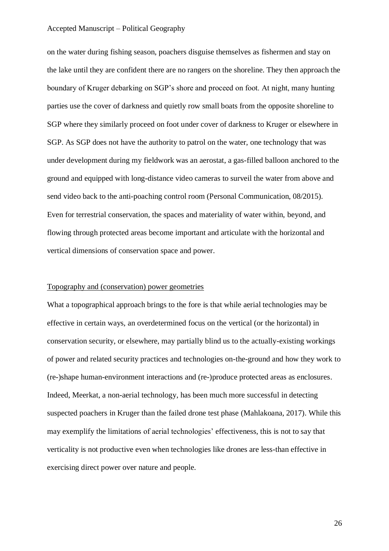on the water during fishing season, poachers disguise themselves as fishermen and stay on the lake until they are confident there are no rangers on the shoreline. They then approach the boundary of Kruger debarking on SGP's shore and proceed on foot. At night, many hunting parties use the cover of darkness and quietly row small boats from the opposite shoreline to SGP where they similarly proceed on foot under cover of darkness to Kruger or elsewhere in SGP. As SGP does not have the authority to patrol on the water, one technology that was under development during my fieldwork was an aerostat, a gas-filled balloon anchored to the ground and equipped with long-distance video cameras to surveil the water from above and send video back to the anti-poaching control room (Personal Communication, 08/2015). Even for terrestrial conservation, the spaces and materiality of water within, beyond, and flowing through protected areas become important and articulate with the horizontal and vertical dimensions of conservation space and power.

## Topography and (conservation) power geometries

What a topographical approach brings to the fore is that while aerial technologies may be effective in certain ways, an overdetermined focus on the vertical (or the horizontal) in conservation security, or elsewhere, may partially blind us to the actually-existing workings of power and related security practices and technologies on-the-ground and how they work to (re-)shape human-environment interactions and (re-)produce protected areas as enclosures. Indeed, Meerkat, a non-aerial technology, has been much more successful in detecting suspected poachers in Kruger than the failed drone test phase (Mahlakoana, 2017). While this may exemplify the limitations of aerial technologies' effectiveness, this is not to say that verticality is not productive even when technologies like drones are less-than effective in exercising direct power over nature and people.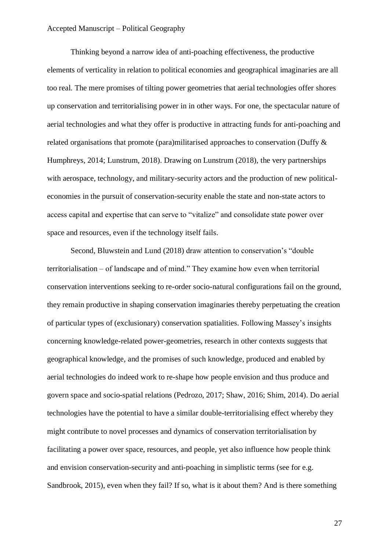Thinking beyond a narrow idea of anti-poaching effectiveness, the productive elements of verticality in relation to political economies and geographical imaginaries are all too real. The mere promises of tilting power geometries that aerial technologies offer shores up conservation and territorialising power in in other ways. For one, the spectacular nature of aerial technologies and what they offer is productive in attracting funds for anti-poaching and related organisations that promote (para)militarised approaches to conservation (Duffy & Humphreys, 2014; Lunstrum, 2018). Drawing on Lunstrum (2018), the very partnerships with aerospace, technology, and military-security actors and the production of new politicaleconomies in the pursuit of conservation-security enable the state and non-state actors to access capital and expertise that can serve to "vitalize" and consolidate state power over space and resources, even if the technology itself fails.

 Second, Bluwstein and Lund (2018) draw attention to conservation's "double territorialisation – of landscape and of mind." They examine how even when territorial conservation interventions seeking to re-order socio-natural configurations fail on the ground, they remain productive in shaping conservation imaginaries thereby perpetuating the creation of particular types of (exclusionary) conservation spatialities. Following Massey's insights concerning knowledge-related power-geometries, research in other contexts suggests that geographical knowledge, and the promises of such knowledge, produced and enabled by aerial technologies do indeed work to re-shape how people envision and thus produce and govern space and socio-spatial relations (Pedrozo, 2017; Shaw, 2016; Shim, 2014). Do aerial technologies have the potential to have a similar double-territorialising effect whereby they might contribute to novel processes and dynamics of conservation territorialisation by facilitating a power over space, resources, and people, yet also influence how people think and envision conservation-security and anti-poaching in simplistic terms (see for e.g. Sandbrook, 2015), even when they fail? If so, what is it about them? And is there something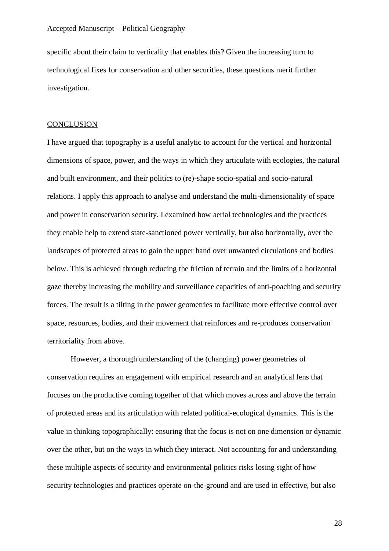specific about their claim to verticality that enables this? Given the increasing turn to technological fixes for conservation and other securities, these questions merit further investigation.

#### **CONCLUSION**

I have argued that topography is a useful analytic to account for the vertical and horizontal dimensions of space, power, and the ways in which they articulate with ecologies, the natural and built environment, and their politics to (re)-shape socio-spatial and socio-natural relations. I apply this approach to analyse and understand the multi-dimensionality of space and power in conservation security. I examined how aerial technologies and the practices they enable help to extend state-sanctioned power vertically, but also horizontally, over the landscapes of protected areas to gain the upper hand over unwanted circulations and bodies below. This is achieved through reducing the friction of terrain and the limits of a horizontal gaze thereby increasing the mobility and surveillance capacities of anti-poaching and security forces. The result is a tilting in the power geometries to facilitate more effective control over space, resources, bodies, and their movement that reinforces and re-produces conservation territoriality from above.

 However, a thorough understanding of the (changing) power geometries of conservation requires an engagement with empirical research and an analytical lens that focuses on the productive coming together of that which moves across and above the terrain of protected areas and its articulation with related political-ecological dynamics. This is the value in thinking topographically: ensuring that the focus is not on one dimension or dynamic over the other, but on the ways in which they interact. Not accounting for and understanding these multiple aspects of security and environmental politics risks losing sight of how security technologies and practices operate on-the-ground and are used in effective, but also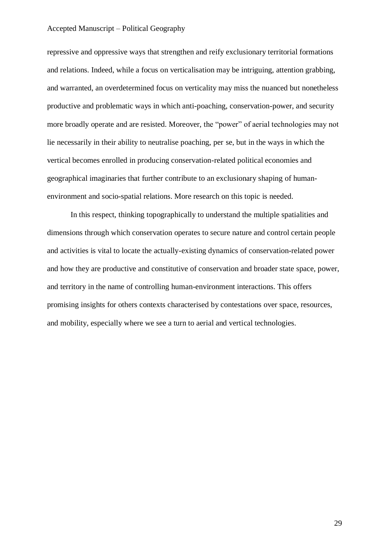repressive and oppressive ways that strengthen and reify exclusionary territorial formations and relations. Indeed, while a focus on verticalisation may be intriguing, attention grabbing, and warranted, an overdetermined focus on verticality may miss the nuanced but nonetheless productive and problematic ways in which anti-poaching, conservation-power, and security more broadly operate and are resisted. Moreover, the "power" of aerial technologies may not lie necessarily in their ability to neutralise poaching, per se, but in the ways in which the vertical becomes enrolled in producing conservation-related political economies and geographical imaginaries that further contribute to an exclusionary shaping of humanenvironment and socio-spatial relations. More research on this topic is needed.

 In this respect, thinking topographically to understand the multiple spatialities and dimensions through which conservation operates to secure nature and control certain people and activities is vital to locate the actually-existing dynamics of conservation-related power and how they are productive and constitutive of conservation and broader state space, power, and territory in the name of controlling human-environment interactions. This offers promising insights for others contexts characterised by contestations over space, resources, and mobility, especially where we see a turn to aerial and vertical technologies.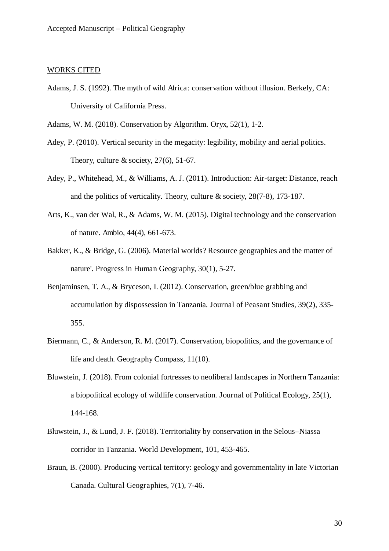#### WORKS CITED

Adams, J. S. (1992). The myth of wild Africa: conservation without illusion. Berkely, CA: University of California Press.

Adams, W. M. (2018). Conservation by Algorithm. Oryx, 52(1), 1-2.

- Adey, P. (2010). Vertical security in the megacity: legibility, mobility and aerial politics. Theory, culture  $\&$  society, 27(6), 51-67.
- Adey, P., Whitehead, M., & Williams, A. J. (2011). Introduction: Air-target: Distance, reach and the politics of verticality. Theory, culture & society, 28(7-8), 173-187.
- Arts, K., van der Wal, R., & Adams, W. M. (2015). Digital technology and the conservation of nature. Ambio, 44(4), 661-673.
- Bakker, K., & Bridge, G. (2006). Material worlds? Resource geographies and the matter of nature'. Progress in Human Geography, 30(1), 5-27.
- Benjaminsen, T. A., & Bryceson, I. (2012). Conservation, green/blue grabbing and accumulation by dispossession in Tanzania. Journal of Peasant Studies, 39(2), 335- 355.
- Biermann, C., & Anderson, R. M. (2017). Conservation, biopolitics, and the governance of life and death. Geography Compass, 11(10).
- Bluwstein, J. (2018). From colonial fortresses to neoliberal landscapes in Northern Tanzania: a biopolitical ecology of wildlife conservation. Journal of Political Ecology, 25(1), 144-168.
- Bluwstein, J., & Lund, J. F. (2018). Territoriality by conservation in the Selous–Niassa corridor in Tanzania. World Development, 101, 453-465.
- Braun, B. (2000). Producing vertical territory: geology and governmentality in late Victorian Canada. Cultural Geographies, 7(1), 7-46.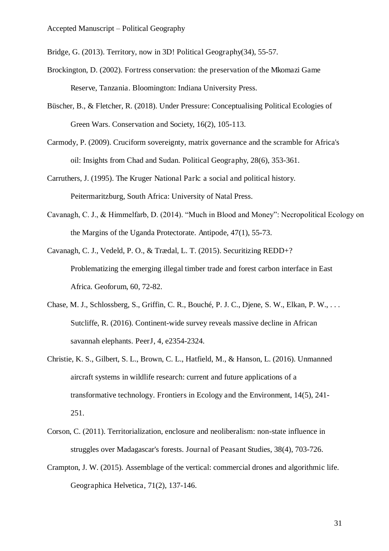Bridge, G. (2013). Territory, now in 3D! Political Geography(34), 55-57.

- Brockington, D. (2002). Fortress conservation: the preservation of the Mkomazi Game Reserve, Tanzania. Bloomington: Indiana University Press.
- Büscher, B., & Fletcher, R. (2018). Under Pressure: Conceptualising Political Ecologies of Green Wars. Conservation and Society, 16(2), 105-113.
- Carmody, P. (2009). Cruciform sovereignty, matrix governance and the scramble for Africa's oil: Insights from Chad and Sudan. Political Geography, 28(6), 353-361.
- Carruthers, J. (1995). The Kruger National Park: a social and political history. Peitermaritzburg, South Africa: University of Natal Press.
- Cavanagh, C. J., & Himmelfarb, D. (2014). "Much in Blood and Money": Necropolitical Ecology on the Margins of the Uganda Protectorate. Antipode, 47(1), 55-73.
- Cavanagh, C. J., Vedeld, P. O., & Trædal, L. T. (2015). Securitizing REDD+? Problematizing the emerging illegal timber trade and forest carbon interface in East Africa. Geoforum, 60, 72-82.
- Chase, M. J., Schlossberg, S., Griffin, C. R., Bouché, P. J. C., Djene, S. W., Elkan, P. W., . . . Sutcliffe, R. (2016). Continent-wide survey reveals massive decline in African savannah elephants. PeerJ, 4, e2354-2324.
- Christie, K. S., Gilbert, S. L., Brown, C. L., Hatfield, M., & Hanson, L. (2016). Unmanned aircraft systems in wildlife research: current and future applications of a transformative technology. Frontiers in Ecology and the Environment, 14(5), 241- 251.
- Corson, C. (2011). Territorialization, enclosure and neoliberalism: non-state influence in struggles over Madagascar's forests. Journal of Peasant Studies, 38(4), 703-726.
- Crampton, J. W. (2015). Assemblage of the vertical: commercial drones and algorithmic life. Geographica Helvetica, 71(2), 137-146.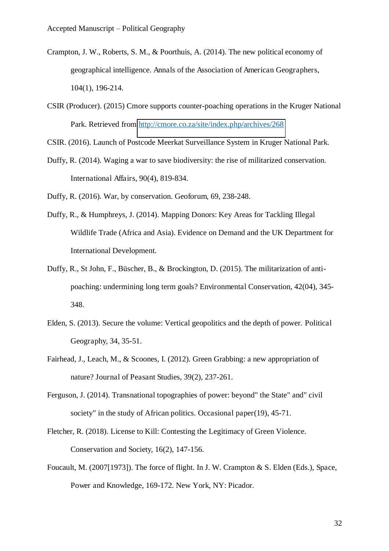- Crampton, J. W., Roberts, S. M., & Poorthuis, A. (2014). The new political economy of geographical intelligence. Annals of the Association of American Geographers, 104(1), 196-214.
- CSIR (Producer). (2015) Cmore supports counter-poaching operations in the Kruger National Park. Retrieved from<http://cmore.co.za/site/index.php/archives/268>
- CSIR. (2016). Launch of Postcode Meerkat Surveillance System in Kruger National Park.
- Duffy, R. (2014). Waging a war to save biodiversity: the rise of militarized conservation. International Affairs, 90(4), 819-834.
- Duffy, R. (2016). War, by conservation. Geoforum, 69, 238-248.
- Duffy, R., & Humphreys, J. (2014). Mapping Donors: Key Areas for Tackling Illegal Wildlife Trade (Africa and Asia). Evidence on Demand and the UK Department for International Development.
- Duffy, R., St John, F., Büscher, B., & Brockington, D. (2015). The militarization of antipoaching: undermining long term goals? Environmental Conservation, 42(04), 345- 348.
- Elden, S. (2013). Secure the volume: Vertical geopolitics and the depth of power. Political Geography, 34, 35-51.
- Fairhead, J., Leach, M., & Scoones, I. (2012). Green Grabbing: a new appropriation of nature? Journal of Peasant Studies, 39(2), 237-261.
- Ferguson, J. (2014). Transnational topographies of power: beyond" the State" and" civil society" in the study of African politics. Occasional paper(19), 45-71.
- Fletcher, R. (2018). License to Kill: Contesting the Legitimacy of Green Violence. Conservation and Society, 16(2), 147-156.
- Foucault, M. (2007[1973]). The force of flight. In J. W. Crampton & S. Elden (Eds.), Space, Power and Knowledge, 169-172. New York, NY: Picador.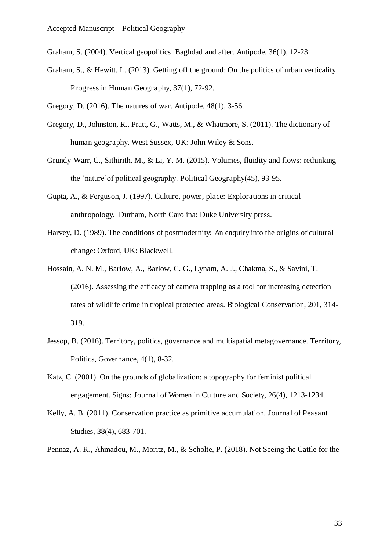Graham, S. (2004). Vertical geopolitics: Baghdad and after. Antipode, 36(1), 12-23.

Graham, S., & Hewitt, L. (2013). Getting off the ground: On the politics of urban verticality. Progress in Human Geography, 37(1), 72-92.

Gregory, D. (2016). The natures of war. Antipode, 48(1), 3-56.

- Gregory, D., Johnston, R., Pratt, G., Watts, M., & Whatmore, S. (2011). The dictionary of human geography. West Sussex, UK: John Wiley & Sons.
- Grundy-Warr, C., Sithirith, M., & Li, Y. M. (2015). Volumes, fluidity and flows: rethinking the 'nature'of political geography. Political Geography(45), 93-95.
- Gupta, A., & Ferguson, J. (1997). Culture, power, place: Explorations in critical anthropology. Durham, North Carolina: Duke University press.
- Harvey, D. (1989). The conditions of postmodernity: An enquiry into the origins of cultural change: Oxford, UK: Blackwell.
- Hossain, A. N. M., Barlow, A., Barlow, C. G., Lynam, A. J., Chakma, S., & Savini, T. (2016). Assessing the efficacy of camera trapping as a tool for increasing detection rates of wildlife crime in tropical protected areas. Biological Conservation, 201, 314- 319.
- Jessop, B. (2016). Territory, politics, governance and multispatial metagovernance. Territory, Politics, Governance, 4(1), 8-32.
- Katz, C. (2001). On the grounds of globalization: a topography for feminist political engagement. Signs: Journal of Women in Culture and Society, 26(4), 1213-1234.
- Kelly, A. B. (2011). Conservation practice as primitive accumulation. Journal of Peasant Studies, 38(4), 683-701.

Pennaz, A. K., Ahmadou, M., Moritz, M., & Scholte, P. (2018). Not Seeing the Cattle for the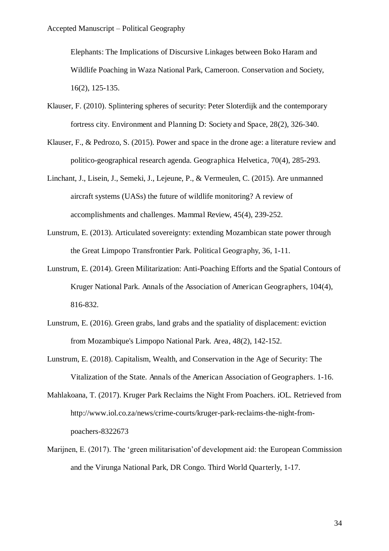Elephants: The Implications of Discursive Linkages between Boko Haram and Wildlife Poaching in Waza National Park, Cameroon. Conservation and Society, 16(2), 125-135.

- Klauser, F. (2010). Splintering spheres of security: Peter Sloterdijk and the contemporary fortress city. Environment and Planning D: Society and Space, 28(2), 326-340.
- Klauser, F., & Pedrozo, S. (2015). Power and space in the drone age: a literature review and politico-geographical research agenda. Geographica Helvetica, 70(4), 285-293.
- Linchant, J., Lisein, J., Semeki, J., Lejeune, P., & Vermeulen, C. (2015). Are unmanned aircraft systems (UASs) the future of wildlife monitoring? A review of accomplishments and challenges. Mammal Review, 45(4), 239-252.
- Lunstrum, E. (2013). Articulated sovereignty: extending Mozambican state power through the Great Limpopo Transfrontier Park. Political Geography, 36, 1-11.
- Lunstrum, E. (2014). Green Militarization: Anti-Poaching Efforts and the Spatial Contours of Kruger National Park. Annals of the Association of American Geographers, 104(4), 816-832.
- Lunstrum, E. (2016). Green grabs, land grabs and the spatiality of displacement: eviction from Mozambique's Limpopo National Park. Area, 48(2), 142-152.
- Lunstrum, E. (2018). Capitalism, Wealth, and Conservation in the Age of Security: The Vitalization of the State. Annals of the American Association of Geographers. 1-16.
- Mahlakoana, T. (2017). Kruger Park Reclaims the Night From Poachers. iOL. Retrieved from http://www.iol.co.za/news/crime-courts/kruger-park-reclaims-the-night-frompoachers-8322673
- Marijnen, E. (2017). The 'green militarisation'of development aid: the European Commission and the Virunga National Park, DR Congo. Third World Quarterly, 1-17.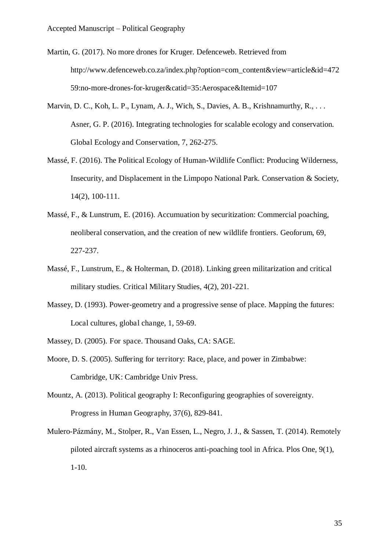- Martin, G. (2017). No more drones for Kruger. Defenceweb. Retrieved from http://www.defenceweb.co.za/index.php?option=com\_content&view=article&id=472 59:no-more-drones-for-kruger&catid=35:Aerospace&Itemid=107
- Marvin, D. C., Koh, L. P., Lynam, A. J., Wich, S., Davies, A. B., Krishnamurthy, R., ... Asner, G. P. (2016). Integrating technologies for scalable ecology and conservation. Global Ecology and Conservation, 7, 262-275.
- Massé, F. (2016). The Political Ecology of Human-Wildlife Conflict: Producing Wilderness, Insecurity, and Displacement in the Limpopo National Park. Conservation & Society, 14(2), 100-111.
- Massé, F., & Lunstrum, E. (2016). Accumuation by securitization: Commercial poaching, neoliberal conservation, and the creation of new wildlife frontiers. Geoforum, 69, 227-237.
- Massé, F., Lunstrum, E., & Holterman, D. (2018). Linking green militarization and critical military studies. Critical Military Studies, 4(2), 201-221.
- Massey, D. (1993). Power-geometry and a progressive sense of place. Mapping the futures: Local cultures, global change, 1, 59-69.
- Massey, D. (2005). For space. Thousand Oaks, CA: SAGE.
- Moore, D. S. (2005). Suffering for territory: Race, place, and power in Zimbabwe: Cambridge, UK: Cambridge Univ Press.
- Mountz, A. (2013). Political geography I: Reconfiguring geographies of sovereignty. Progress in Human Geography, 37(6), 829-841.
- Mulero-Pázmány, M., Stolper, R., Van Essen, L., Negro, J. J., & Sassen, T. (2014). Remotely piloted aircraft systems as a rhinoceros anti-poaching tool in Africa. Plos One, 9(1), 1-10.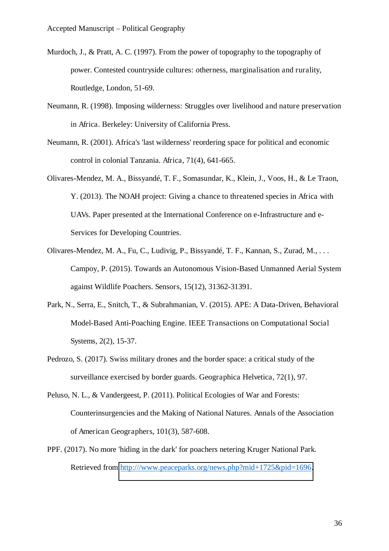- Murdoch, J., & Pratt, A. C. (1997). From the power of topography to the topography of power. Contested countryside cultures: otherness, marginalisation and rurality, Routledge, London, 51-69.
- Neumann, R. (1998). Imposing wilderness: Struggles over livelihood and nature preservation in Africa. Berkeley: University of California Press.
- Neumann, R. (2001). Africa's 'last wilderness' reordering space for political and economic control in colonial Tanzania. Africa, 71(4), 641-665.
- Olivares-Mendez, M. A., Bissyandé, T. F., Somasundar, K., Klein, J., Voos, H., & Le Traon, Y. (2013). The NOAH project: Giving a chance to threatened species in Africa with UAVs. Paper presented at the International Conference on e-Infrastructure and e-Services for Developing Countries.
- Olivares-Mendez, M. A., Fu, C., Ludivig, P., Bissyandé, T. F., Kannan, S., Zurad, M., . . . Campoy, P. (2015). Towards an Autonomous Vision-Based Unmanned Aerial System against Wildlife Poachers. Sensors, 15(12), 31362-31391.
- Park, N., Serra, E., Snitch, T., & Subrahmanian, V. (2015). APE: A Data-Driven, Behavioral Model-Based Anti-Poaching Engine. IEEE Transactions on Computational Social Systems, 2(2), 15-37.
- Pedrozo, S. (2017). Swiss military drones and the border space: a critical study of the surveillance exercised by border guards. Geographica Helvetica, 72(1), 97.
- Peluso, N. L., & Vandergeest, P. (2011). Political Ecologies of War and Forests: Counterinsurgencies and the Making of National Natures. Annals of the Association of American Geographers, 101(3), 587-608.
- PPF. (2017). No more 'hiding in the dark' for poachers netering Kruger National Park. Retrieved from [http:///www.peaceparks.org/news.php?mid+1725&pid=1696.](http://www.peaceparks.org/news.php?mid+1725&pid=1696)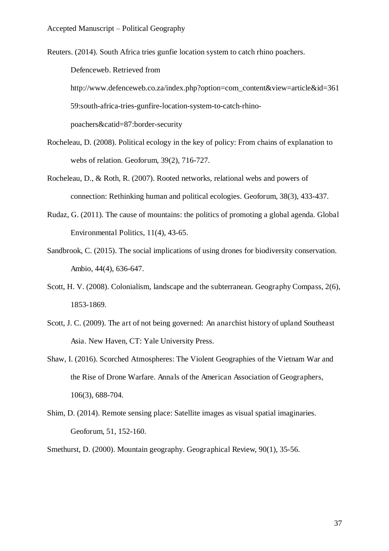Reuters. (2014). South Africa tries gunfie location system to catch rhino poachers.

Defenceweb. Retrieved from

http://www.defenceweb.co.za/index.php?option=com\_content&view=article&id=361 59:south-africa-tries-gunfire-location-system-to-catch-rhino-

poachers&catid=87:border-security

- Rocheleau, D. (2008). Political ecology in the key of policy: From chains of explanation to webs of relation. Geoforum, 39(2), 716-727.
- Rocheleau, D., & Roth, R. (2007). Rooted networks, relational webs and powers of connection: Rethinking human and political ecologies. Geoforum, 38(3), 433-437.
- Rudaz, G. (2011). The cause of mountains: the politics of promoting a global agenda. Global Environmental Politics, 11(4), 43-65.
- Sandbrook, C. (2015). The social implications of using drones for biodiversity conservation. Ambio, 44(4), 636-647.
- Scott, H. V. (2008). Colonialism, landscape and the subterranean. Geography Compass, 2(6), 1853-1869.
- Scott, J. C. (2009). The art of not being governed: An anarchist history of upland Southeast Asia. New Haven, CT: Yale University Press.
- Shaw, I. (2016). Scorched Atmospheres: The Violent Geographies of the Vietnam War and the Rise of Drone Warfare. Annals of the American Association of Geographers, 106(3), 688-704.
- Shim, D. (2014). Remote sensing place: Satellite images as visual spatial imaginaries. Geoforum, 51, 152-160.

Smethurst, D. (2000). Mountain geography. Geographical Review, 90(1), 35-56.